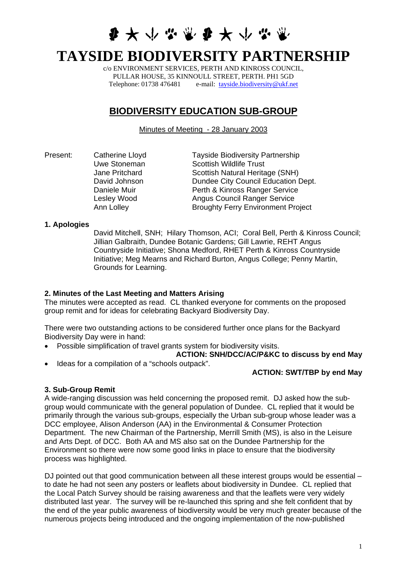# **多大小心觉多大小心觉**

# **TAYSIDE BIODIVERSITY PARTNERSHIP**

c/o ENVIRONMENT SERVICES, PERTH AND KINROSS COUNCIL, PULLAR HOUSE, 35 KINNOULL STREET, PERTH. PH1 5GD Telephone: 01738 476481 e-mail: [tayside.biodiversity@ukf.net](mailto:tayside.biodiversity@ukf.net)

# **BIODIVERSITY EDUCATION SUB-GROUP**

Minutes of Meeting - 28 January 2003

Present: Catherine Lloyd<br>
Uwe Stoneman<br>
Scottish Wildlife Trust<br>
Contain Mildlife Trust Scottish Wildlife Trust Jane Pritchard Scottish Natural Heritage (SNH) David Johnson **Dundee City Council Education Dept.** Daniele Muir **Perth & Kinross Ranger Service** Lesley Wood **Angus Council Ranger Service** Ann Lolley **Broughty Ferry Environment Project** 

#### **1. Apologies**

David Mitchell, SNH; Hilary Thomson, ACI; Coral Bell, Perth & Kinross Council; Jillian Galbraith, Dundee Botanic Gardens; Gill Lawrie, REHT Angus Countryside Initiative; Shona Medford, RHET Perth & Kinross Countryside Initiative; Meg Mearns and Richard Burton, Angus College; Penny Martin, Grounds for Learning.

# **2. Minutes of the Last Meeting and Matters Arising**

The minutes were accepted as read. CL thanked everyone for comments on the proposed group remit and for ideas for celebrating Backyard Biodiversity Day.

There were two outstanding actions to be considered further once plans for the Backyard Biodiversity Day were in hand:

• Possible simplification of travel grants system for biodiversity visits.

# **ACTION: SNH/DCC/AC/P&KC to discuss by end May**

• Ideas for a compilation of a "schools outpack".

# **ACTION: SWT/TBP by end May**

# **3. Sub-Group Remit**

A wide-ranging discussion was held concerning the proposed remit. DJ asked how the subgroup would communicate with the general population of Dundee. CL replied that it would be primarily through the various sub-groups, especially the Urban sub-group whose leader was a DCC employee, Alison Anderson (AA) in the Environmental & Consumer Protection Department. The new Chairman of the Partnership, Merrill Smith (MS), is also in the Leisure and Arts Dept. of DCC. Both AA and MS also sat on the Dundee Partnership for the Environment so there were now some good links in place to ensure that the biodiversity process was highlighted.

DJ pointed out that good communication between all these interest groups would be essential to date he had not seen any posters or leaflets about biodiversity in Dundee. CL replied that the Local Patch Survey should be raising awareness and that the leaflets were very widely distributed last year. The survey will be re-launched this spring and she felt confident that by the end of the year public awareness of biodiversity would be very much greater because of the numerous projects being introduced and the ongoing implementation of the now-published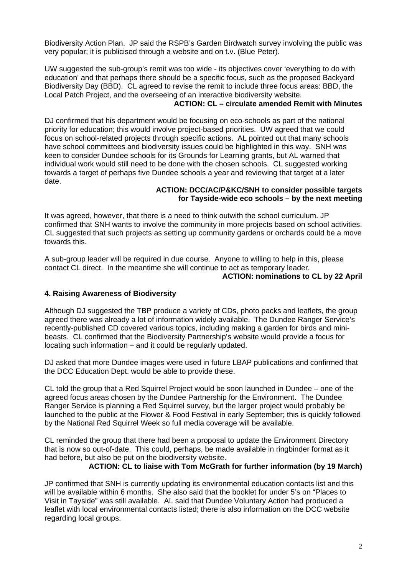Biodiversity Action Plan. JP said the RSPB's Garden Birdwatch survey involving the public was very popular; it is publicised through a website and on t.v. (Blue Peter).

UW suggested the sub-group's remit was too wide - its objectives cover 'everything to do with education' and that perhaps there should be a specific focus, such as the proposed Backyard Biodiversity Day (BBD). CL agreed to revise the remit to include three focus areas: BBD, the Local Patch Project, and the overseeing of an interactive biodiversity website.

# **ACTION: CL – circulate amended Remit with Minutes**

DJ confirmed that his department would be focusing on eco-schools as part of the national priority for education; this would involve project-based priorities. UW agreed that we could focus on school-related projects through specific actions. AL pointed out that many schools have school committees and biodiversity issues could be highlighted in this way. SNH was keen to consider Dundee schools for its Grounds for Learning grants, but AL warned that individual work would still need to be done with the chosen schools. CL suggested working towards a target of perhaps five Dundee schools a year and reviewing that target at a later date.

#### **ACTION: DCC/AC/P&KC/SNH to consider possible targets for Tayside-wide eco schools – by the next meeting**

It was agreed, however, that there is a need to think outwith the school curriculum. JP confirmed that SNH wants to involve the community in more projects based on school activities. CL suggested that such projects as setting up community gardens or orchards could be a move towards this.

A sub-group leader will be required in due course. Anyone to willing to help in this, please contact CL direct. In the meantime she will continue to act as temporary leader.

#### **ACTION: nominations to CL by 22 April**

# **4. Raising Awareness of Biodiversity**

Although DJ suggested the TBP produce a variety of CDs, photo packs and leaflets, the group agreed there was already a lot of information widely available. The Dundee Ranger Service's recently-published CD covered various topics, including making a garden for birds and minibeasts. CL confirmed that the Biodiversity Partnership's website would provide a focus for locating such information – and it could be regularly updated.

DJ asked that more Dundee images were used in future LBAP publications and confirmed that the DCC Education Dept. would be able to provide these.

CL told the group that a Red Squirrel Project would be soon launched in Dundee – one of the agreed focus areas chosen by the Dundee Partnership for the Environment. The Dundee Ranger Service is planning a Red Squirrel survey, but the larger project would probably be launched to the public at the Flower & Food Festival in early September; this is quickly followed by the National Red Squirrel Week so full media coverage will be available.

CL reminded the group that there had been a proposal to update the Environment Directory that is now so out-of-date. This could, perhaps, be made available in ringbinder format as it had before, but also be put on the biodiversity website.

#### **ACTION: CL to liaise with Tom McGrath for further information (by 19 March)**

JP confirmed that SNH is currently updating its environmental education contacts list and this will be available within 6 months. She also said that the booklet for under 5's on "Places to Visit in Tayside" was still available. AL said that Dundee Voluntary Action had produced a leaflet with local environmental contacts listed; there is also information on the DCC website regarding local groups.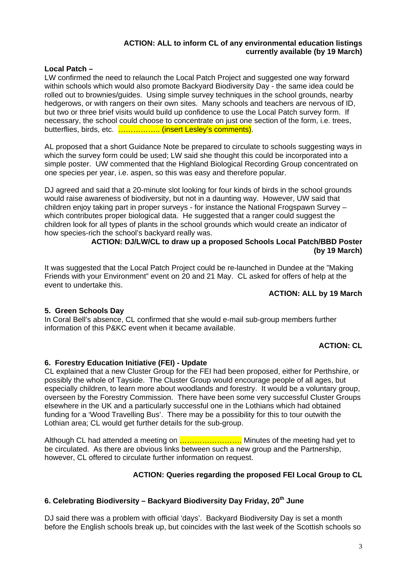# **ACTION: ALL to inform CL of any environmental education listings currently available (by 19 March)**

#### **Local Patch –**

LW confirmed the need to relaunch the Local Patch Project and suggested one way forward within schools which would also promote Backyard Biodiversity Day - the same idea could be rolled out to brownies/guides. Using simple survey techniques in the school grounds, nearby hedgerows, or with rangers on their own sites. Many schools and teachers are nervous of ID, but two or three brief visits would build up confidence to use the Local Patch survey form. If necessary, the school could choose to concentrate on just one section of the form, i.e. trees, butterflies, birds, etc. .................... (insert Lesley's comments).

AL proposed that a short Guidance Note be prepared to circulate to schools suggesting ways in which the survey form could be used; LW said she thought this could be incorporated into a simple poster. UW commented that the Highland Biological Recording Group concentrated on one species per year, i.e. aspen, so this was easy and therefore popular.

DJ agreed and said that a 20-minute slot looking for four kinds of birds in the school grounds would raise awareness of biodiversity, but not in a daunting way. However, UW said that children enjoy taking part in proper surveys - for instance the National Frogspawn Survey – which contributes proper biological data. He suggested that a ranger could suggest the children look for all types of plants in the school grounds which would create an indicator of how species-rich the school's backyard really was.

#### **ACTION: DJ/LW/CL to draw up a proposed Schools Local Patch/BBD Poster (by 19 March)**

It was suggested that the Local Patch Project could be re-launched in Dundee at the "Making Friends with your Environment" event on 20 and 21 May. CL asked for offers of help at the event to undertake this.

#### **ACTION: ALL by 19 March**

# **5. Green Schools Day**

In Coral Bell's absence, CL confirmed that she would e-mail sub-group members further information of this P&KC event when it became available.

#### **ACTION: CL**

#### **6. Forestry Education Initiative (FEI) - Update**

CL explained that a new Cluster Group for the FEI had been proposed, either for Perthshire, or possibly the whole of Tayside. The Cluster Group would encourage people of all ages, but especially children, to learn more about woodlands and forestry. It would be a voluntary group, overseen by the Forestry Commission. There have been some very successful Cluster Groups elsewhere in the UK and a particularly successful one in the Lothians which had obtained funding for a 'Wood Travelling Bus'. There may be a possibility for this to tour outwith the Lothian area; CL would get further details for the sub-group.

Although CL had attended a meeting on **.........................** Minutes of the meeting had yet to be circulated. As there are obvious links between such a new group and the Partnership, however, CL offered to circulate further information on request.

# **ACTION: Queries regarding the proposed FEI Local Group to CL**

# **6. Celebrating Biodiversity – Backyard Biodiversity Day Friday, 20th June**

DJ said there was a problem with official 'days'. Backyard Biodiversity Day is set a month before the English schools break up, but coincides with the last week of the Scottish schools so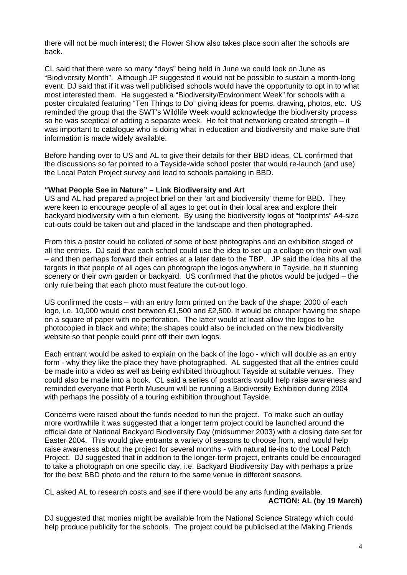there will not be much interest; the Flower Show also takes place soon after the schools are back.

CL said that there were so many "days" being held in June we could look on June as "Biodiversity Month". Although JP suggested it would not be possible to sustain a month-long event, DJ said that if it was well publicised schools would have the opportunity to opt in to what most interested them. He suggested a "Biodiversity/Environment Week" for schools with a poster circulated featuring "Ten Things to Do" giving ideas for poems, drawing, photos, etc. US reminded the group that the SWT's Wildlife Week would acknowledge the biodiversity process so he was sceptical of adding a separate week. He felt that networking created strength – it was important to catalogue who is doing what in education and biodiversity and make sure that information is made widely available.

Before handing over to US and AL to give their details for their BBD ideas, CL confirmed that the discussions so far pointed to a Tayside-wide school poster that would re-launch (and use) the Local Patch Project survey and lead to schools partaking in BBD.

#### **"What People See in Nature" – Link Biodiversity and Art**

US and AL had prepared a project brief on their 'art and biodiversity' theme for BBD. They were keen to encourage people of all ages to get out in their local area and explore their backyard biodiversity with a fun element. By using the biodiversity logos of "footprints" A4-size cut-outs could be taken out and placed in the landscape and then photographed.

From this a poster could be collated of some of best photographs and an exhibition staged of all the entries. DJ said that each school could use the idea to set up a collage on their own wall – and then perhaps forward their entries at a later date to the TBP. JP said the idea hits all the targets in that people of all ages can photograph the logos anywhere in Tayside, be it stunning scenery or their own garden or backyard. US confirmed that the photos would be judged – the only rule being that each photo must feature the cut-out logo.

US confirmed the costs – with an entry form printed on the back of the shape: 2000 of each logo, i.e. 10,000 would cost between £1,500 and £2,500. It would be cheaper having the shape on a square of paper with no perforation. The latter would at least allow the logos to be photocopied in black and white; the shapes could also be included on the new biodiversity website so that people could print off their own logos.

Each entrant would be asked to explain on the back of the logo - which will double as an entry form - why they like the place they have photographed. AL suggested that all the entries could be made into a video as well as being exhibited throughout Tayside at suitable venues. They could also be made into a book. CL said a series of postcards would help raise awareness and reminded everyone that Perth Museum will be running a Biodiversity Exhibition during 2004 with perhaps the possibly of a touring exhibition throughout Tayside.

Concerns were raised about the funds needed to run the project. To make such an outlay more worthwhile it was suggested that a longer term project could be launched around the official date of National Backyard Biodiversity Day (midsummer 2003) with a closing date set for Easter 2004. This would give entrants a variety of seasons to choose from, and would help raise awareness about the project for several months - with natural tie-ins to the Local Patch Project. DJ suggested that in addition to the longer-term project, entrants could be encouraged to take a photograph on one specific day, i.e. Backyard Biodiversity Day with perhaps a prize for the best BBD photo and the return to the same venue in different seasons.

CL asked AL to research costs and see if there would be any arts funding available. **ACTION: AL (by 19 March)** 

DJ suggested that monies might be available from the National Science Strategy which could help produce publicity for the schools. The project could be publicised at the Making Friends